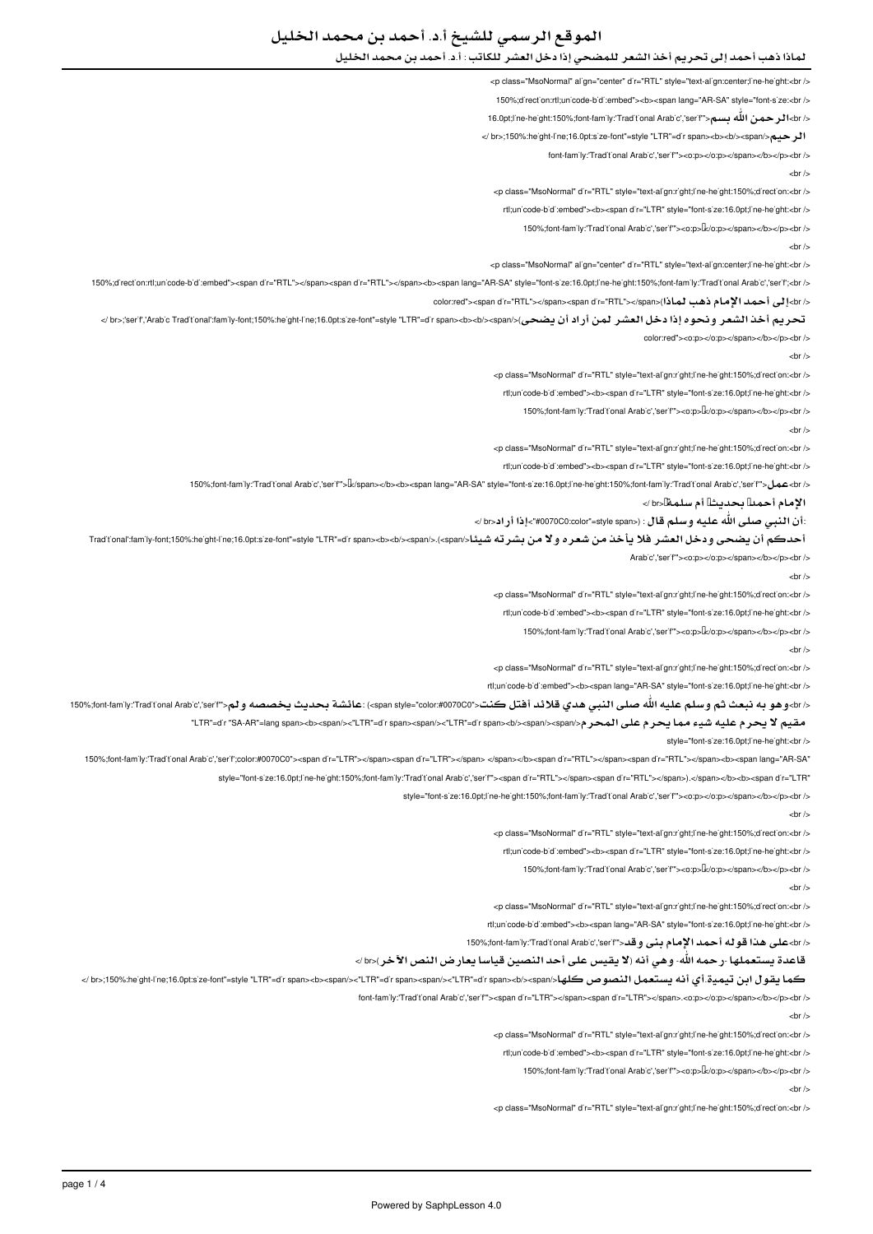### لماذا ذهب أحمد إلى تحريم أخذ الشعر للمضحي إذا دخل العشر للكاتب : أ.د. أحمد بن محمد الخليل

<p class="MsoNormal" align="center" dir="RTL" style="text-align:center;line-height:<br/>br />

150%;direction:rtl;unicode-bidi:embed"><b><span lang="AR-SA" style="font-size:<br/>cbri/>

</ br>الرحمن اللّه بسم<"'t serift:150%;font-family:'Traditional Arabic','serift"> فيسمح

الرحيم</br>:150%:he<sup>'</sup>ght-l'ne;16.0pt:s'ze-font"=style "LTR"=d'r span><b><b/><span/>

font-fam'ly:'Traditional Arabic','serif"><0:p></0:p></span></b></p><br/>>br

 $-br /<sub>></sub>$ 

</ class="MsoNormal" dir="RTL" style="text-align:right:line-height:150%;direction;<hr

rtl:unicode-bidi:embed"><b><span dir="LTR" style="font-size:16.0pt:line-height:<br/>shand-

tont-family "Traditional Arabic" serif"><o:p>{/o:p></span></p></p></p></p</

 $-br /<sub>></sub>$ 

</b class="MsoNormal" align="center" dir="RTL" style="text-align:center;line-height:<br/>class  $\sim$ 

150%;direction:rtl:unicode-bidi:embed"><span dir="RTL"></span><span dir="RTL"></span><bpan>><span lang="AR-SA" style="font-size:16.0pt;line-height:150%;font-family:Traditional Arabic','serif';<br/>cbr/> </ br>إلى أحمد الإمام ذهب لماذا)<span="RTL"></span><span|"></span="RTL"></span> في أحمد الإمام ذهب ل

 تحريم أخذ الشعر ونحوه إذا دخل العشر لمن أراد أن يضحى)</span></b><b><span dir"=LTR "style"=font-size:pt16.0;line-height150%:;font-family:'Traditional Arabic','serif>;'br /< color:red"><0:p></o:p></span></b></p></p>

 $-$ hr  $\sim$ 

<p class="MsoNormal" d'r="RTL" style="text-al'gn:r'ght;l'ne-he'ght:150%;d'rect'on:<br/>br/>

rtl;un'code-b'd':embed"><b><span d'r="LTR" style="font-s'ze:16.0pt;l'ne-he'ght:<br />

150%;font-family:'Traditional Arabic','serif"><o:p>Lk/o:p></span></b></p><br/>>br

 $-$ hr  $\sim$ 

<p class="MsoNormal" d'r="RTL" style="text-al'gn:r'ght;l'ne-he'ght:150%;d'rect'on:<br/>kht>

rtl:unicode-bidi:embed"><b><span dir="LTR" style="font-size:16.0pt:line-height:<br/>cbr /s

</br>عمل</br>عمل:"\traditional Arabic",'serifitional Arabic",'Serifitional Arabic",'Serifitional Arabic";" Serifitional Arabic"; Serifitional Arabic",'Serifitional Arabic",'Serifitional Arabic",'Serifitional Arabic",'Seri

الإمام أحمداً بحديثاً أم سلمة!<br> />

:أن النبي صلى اللّه عليه وسلم قال : (<br>ا0070C0:color"=style span إذا أراد<br> />

أحدكم أن يضحى ودخل **الع**شر فلا يأخذ من شعر ه ولا من بشر ته شيئا</span (<span) (<span) (<span) ({\ nat i'dramily-font;150%:height-ine;16.0pt:size-font"=style "LTR"=dir span><b><b/><b/><span/>(<span/>(<span/) ({\ nat it in

Arabic','serif"><o:p></o:p></span></b></p><br/>>br/>

 $-br /<sub>></sub>$ 

<b class="MsoNormal" d'r="RTL" style="text-align:right;line-height:150%;direction:<br/>br/>

rtl;unicode-bidi:embed"><b><span dir="LTR" style="font-size:16.0pt;line-height:<br/>-brid-

150%;font-family:'Traditional Arabic','serift><0:p>\\/o:p></span></b></p><br/>>br

 $-br /<sub>></sub>$ 

<b class="MsoNormal" dir="RTL" style="text-align:right:line-height:150%:direction:<br/>br/>

rtliunicode-bidirembed"><br/>>b><span\_lang="AR-SA"\_style="font-size:16.0pt:line-beight:<br/>-br

-br/>وهو به نبعث ثم وسلم عليه الله صلى النبي هدي قلائد أفتل كنت<"cspan style="color:#0070C0"> color: عائشة بحديث يخصصه ولم<"ser font-family:"Traditonal Arabic','serif',-حام ولم داخل النبي هدي قلائد أفتل كنت<"cspan style="

مقيم لا يحرم عليه شيء مما يحرم على المحرم</span><span><span><span المحرم على المحرم على المحرم على المحرم عليه ال

style="font-size:16.0nt:line-height:<hr /s

150%;font-family:Traditional Arabic','serif';color:#0070C0"><span dir="LTR"></span><span dir="LTR"></span></pan></pan></pan/"-"RTL"></span><pandir="RTL"></span><bpan->>spandir="RTL"></span><bpan->

style="font-s ze:16.0pt;l ne-he ght:150%;font-family:'Traditional Arabic','serif"><span dir="RTL"></span><span dir="RTL"></span><spandir="LTL"></span></span>></b></span>>>

style="font-size:16.0nt:line-height:150%;font-family:"Traditional Arabic:"serif"><o:n></o:n></o:n></span></n></n></n></n

 $-br /<sub>></sub>$ 

<n class="MsoNormal" d'r="RTL" style="text-al'gn:right;l'ne-he'ght:150%;d'rect'on:<br/>br/>

rtl;un'code-b'd':embed"><b><span d'r="LTR" style="font-s'ze:16.0pt;l'ne-he'ght:<br/>cbr />

the spanner of the spanner of the tend of the tend of the tend of the tend of the tend of the tend of the tend to the tend to the tend to the tend to the tend to the tend to the tend to the tend to the tend to the tend to

 $str/s$ 

</br>class="MsoNormal" d'r="RTL" style="text-align:right;line-height:150%;direction:<br/>br>

rtl;unicode-bidi:embed"><b><span lang="AR-SA" style="font-size:16.0pt;line-height:<br/>shand-

</ br>على هذا قوله أحمد الإمام بني وقد<"tr" serift") tond family:"Traditional Arabic','serif

#### قاعدة يستعملها -رحمه االله- وهي أنه (لا يقيس على أحد النصين قياسا يعارض النص الآخر)<br /<

كما يقو ل ابن تيمية.أي أ**نه يستعمل النصوص كلها</span><br/>span direct incellar direct incellar direct incellar direct incellar direct incellar direct incellar direct incellar direct incellar direct incellar direct incella** 

font-family:'Traditional Arabic','serif"><span dir="LTR"></span><span dir="LTR"></span></o:p></o:p></span></p></p></p></p>

 $chr/s$ 

<br />
class="MsoNormal" d'r="RTL" style="text-align:right:line-height:150%;direction:<br />

rtl;unicode-bidi:embed"><b><span dir="LTR" style="font-size:16.0pt;line-height:<br/>shand-

150%;font-family:'Traditional Arabic','serift''><0;p>{\o;p></span></p></p></p></p

 $-$ hr  $\sim$ 

<n class="MsoNormal" dir="RTL" style="text-align:right:line-height:150%:direction:<br/>cbr />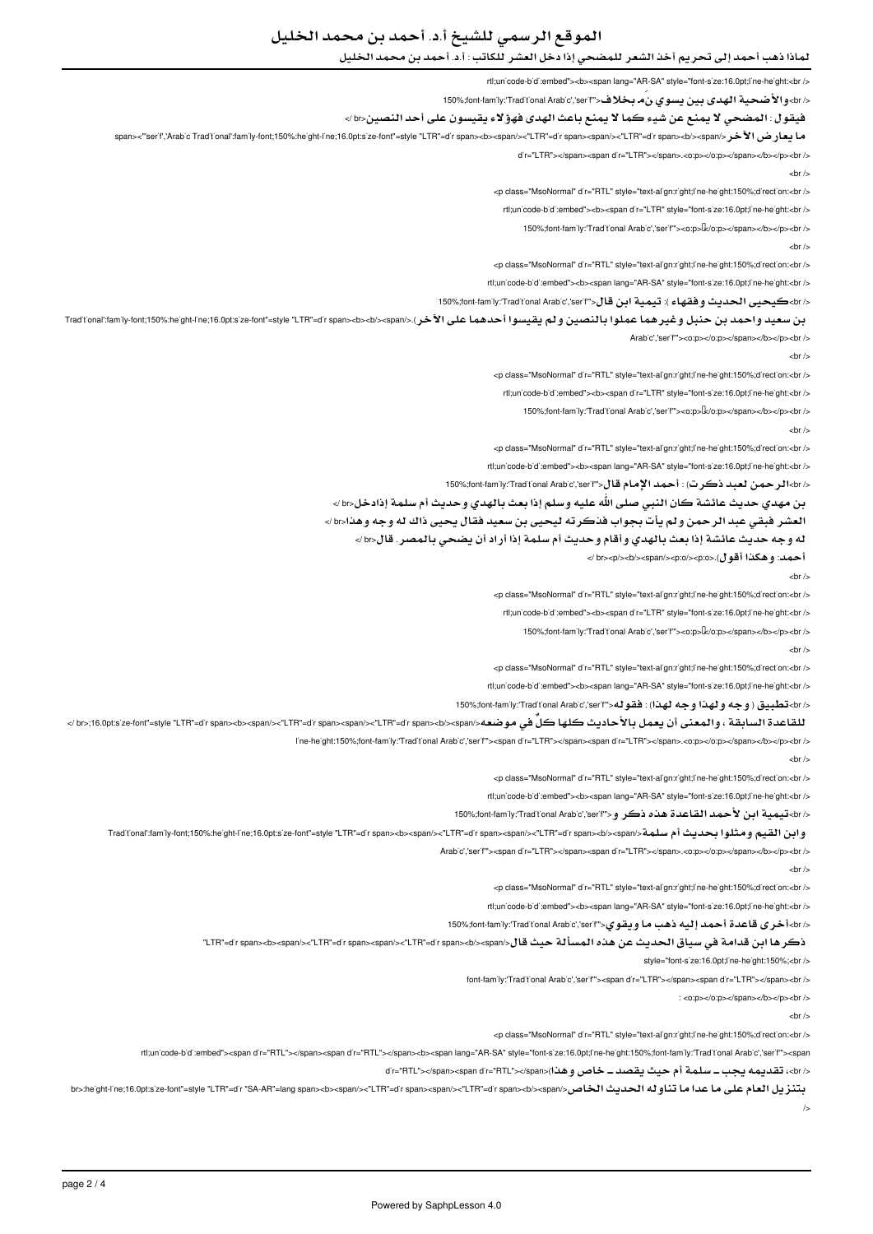### لماذا ذهب أحمد إلى تحريم أخذ الشعر للمضحي إذا دخل العشر للكاتب : أ.د. أحمد بن محمد الخليل

rtl;un'code-b'd':embed"><b><span lang="AR-SA" style="font-s'ze:16.0pt;l'ne-he'ght:<br/>sbr

</br>والأضحية الهدى بين يسوي نَم بخلاف<"tr" chr",'Traditional Arabic','serif' فسحية الهدى بين يسوي ن

فيقول : المضحي لا يمنع عن شيء كما لا يمنع باعث الهدى فهؤلاء يقيسون على أحد النصين<br /<

ما يعارض الآخر</span><"serf",'Arab`c Trad'i'onal':fam'ly-font;150%:he'ght-l'ne;16.0pt:s'ze-font"=style "LTR"=d'r span><b><span/><"LTR"=d'r span><span/><"LTR"=d'r span><span/><"LTR"=d'r span><span/></

d'r="LTR"></span><span d'r="LTR"></span>.<0:p></0:p></span></b></p><br/>>b>

 $-br /<sub>></sub>$ 

</ class="MsoNormal" dir-"RTL" style="text-align:right:line-height:150%;direction;<hr

rtl:unicode-bidi:embed"><b><span dir="LTR" style="font-size:16.0pt:line-height:<br/>shand-

the spanned to the spanned to the spanned to the spanned to the spanned to the spanned to the spanned to the spanned to the spanned to the spanned to the spanned to the spanned to the spanned to the spanned to the spanned

 $str/s$ 

<b class="MsoNormal" dir="RTL" style="text-align:right:line-height:150%:direction:<br/>class  $/$ 

rtl;unicode-bidi:embed"><b><span lang="AR-SA" style="font-size:16.0pt;line-height:<br/>shang spanning spanning spanning spanning spanning spanning spanning spanning spanning spanning spanning spanning spanning spanning spa

</ br>كيحيى الحديث و فقهاء ): تيمية ابن قال<" tont-family:"Traditional Arabic','serifi

بن *سعيد و*احمد بن حنبل وغيرهما عملوا بالنصين ولم يقيسوا أحدهما على الآخر).<reditional':family-font;150%:height-line;16.0pt:size-font"=style "LTR"=dir span><b><bl><b Arabic', 'serif'"><o:n></o:n></span></h></n></n><ht /s

 $-$ hr  $\sim$ 

<p class="MsoNormal" d'r="RTL" style="text-al'gn:r'ght;l'ne-he'ght:150%;d'rect'on:<br/>br/>

rtl;un'code-b'd':embed"><b><span d'r="LTR" style="font-s'ze:16.0pt;l'ne-he'ght:<br />

150%;font-family:'Traditional Arabic','serif"><o:p>Lk/o:p></span></b></p><br/>>br

 $-$ hr  $\sim$ 

<p class="MsoNormal" d'r="RTL" style="text-al'gn:r'ght;l'ne-he'ght:150%;d'rect'on:<br/>br/>

rtl;unicode-bidi:embed"><b><span lang="AR-SA" style="font-size:16.0pt;line-height:<br/>shangle

</ br>الرحمن لعبد ذكرت) : أحمد الإمام قال<"'serif''> took family:'Tradit'onal Arabic','serif''

بن مهدي حديث عائشة كان النبي صلى االله عليه وسلم إذا بعث بالهدي وحديث أم سلمة إذادخل<br /<

العشر فبقي عبد الرحمن ولم يأت بجواب فذكرته ليحيى بن سعيد فقال يحيى ذاك له وجه وهذا<br /<

له وجه حديث عائشة إذا بعث بالهدي وأقام وحديث أم سلمة إذا أراد أن يضحي بالمصر. قال<br /<

أحمد: وهكذا أقول).<o:p></o:p></span></b></p><br /<

 $-br /<sub>></sub>$ 

<p class="MsoNormal" d'r="RTL" style="text-al'gn:right:l'ne-height:150%:direction:<br/>br/>

rtl;unicode-bidi:embed"><b><span dir="LTR" style="font-size:16.0pt;line-height:<br/>-brid-

that-family-traditional Arabic Iserifity-consultions-class-class-data-

 $-br /<sub>></sub>$ 

<b class="MsoNormal" dir="RTL" style="text-align:right:line-height:150%;direction:<br/>class  $\sim$ 

rtl;un'code-b'd':embed"><b><span lang="AR-SA" style="font-s'ze:16.0pt;l'ne-he'ght:<br/>>br />

</ br>تطبيق ( وجه ولهذا وجه لهذا) : فقوله<"'seri','seri' فقدة 150%;font-family:'Traditional Arabic',

للقاعدة السابقة ، والمعنى أن يعمل بالأحاديث كلها كلٌ في موضعه</span><span direction"=style "LTR"=d'r span><b><span><span><span><span><span>> direction span die die pund die die pund die die pund te span die die pund te sp

</ br><p/><b/><span/><p:o/><p:o<.>span/"><LTR="dir span><span/"><LTR="dir span'"><serif','Arabic Traditional':family-font;:150%height-line

 $-$ hr  $\sim$ 

<p class="MsoNormal" d'r="RTL" style="text-align:right;line-height:150%;direction:<br/>br/>

rtlun'code-bidirembed"><br/>>>span-lang="AR-SA" style="font-size:16.0pt:line-bejobt:<br/>chr $\prime$ 

</ br>تيمية ابن لأحمد القاعدة هذه ذكر و<"'tradit'onal Arabic','seri' محمد القاعدة هذه ذكر

وا**بن القيم ومثلوا بحديث أم سلمة**<bractional':family-font;150%:he'ght-l'ne;16.0pt:s'ze-font"=style "LTR"=d'r span><b><span/>zellTR"=d'r span><span/>zellTR"=d'r span><bl/>zellTR"=d'r span><bl/>sellTR"=d'r span><bl/>sellTR"

Arabic','serif"><span dir="LTR"></span><span dir="LTR"></span>.<o:p></o:p></span></b></p>></p>><ht/>

 $-$ hr  $\sim$ 

<p class="MsoNormal" d'r="RTL" style="text-al'gn:r'ght;l'ne-he'ght:150%;d'rect'on:<br />

rtl;unicode-bidi:embed"><b><span lang="AR-SA" style="font-size:16.0pt;line-height:<br/>cbr />

</ br>أخرى قاعدة أحمد إليه ذهب ما ويقوى<"tr" traditional Arabic";'serifi) أخرى قاعدة أحمد إليه ذهب ما

ذكرها ابن قدامة في سياق الحديث عن هذه المسألة حيث قال</sean><b><span>>span>> التقامة التقامة التقامة المسابق ال

style="font-size:16.0nt:line-height:150%;<hr /s

font-family:'Traditional Arabic','serif"><span\_dir="LTR"></span><span\_dir="LTR"></span><br/><br/>class

 $: <\!\!\circ$ :p> $<\!\!\prime$ o:p> $<\!\!\prime$ span> $<\!\!\prime$ b> $<\!\!\prime$ p> $<$ br  $\!\!/$ 

 $-br /<sub>></sub>$ 

<br />
class="MsoNormal" d'r="RTL" style="text-align:right:line-height:150%;direction:<br />

rtl;unicode-bidi:embed"><span dir="RTL"></span><span dir="RTL"></span><b><span ling="AR-SA" style="font-size:16.0pt;line-height:150%;font-family:Traditional Arabic','serif"><span

</ br>، تقديمه يجب ـ سلمة أم حيث يقصد ـ خاص وهذا)<span><span dir="RTL"></span>>> من الله عنه الله عنه

بتنزيل العام على ما عدا ما تناوله الحديث الخاص</span></b><span dir"=LTR><"/span><span dir"=LTR><"/span><b><span lang"=AR-SA "dir"=LTR "style"=font-size:pt16.0;line-height:>br

 $\overline{K}$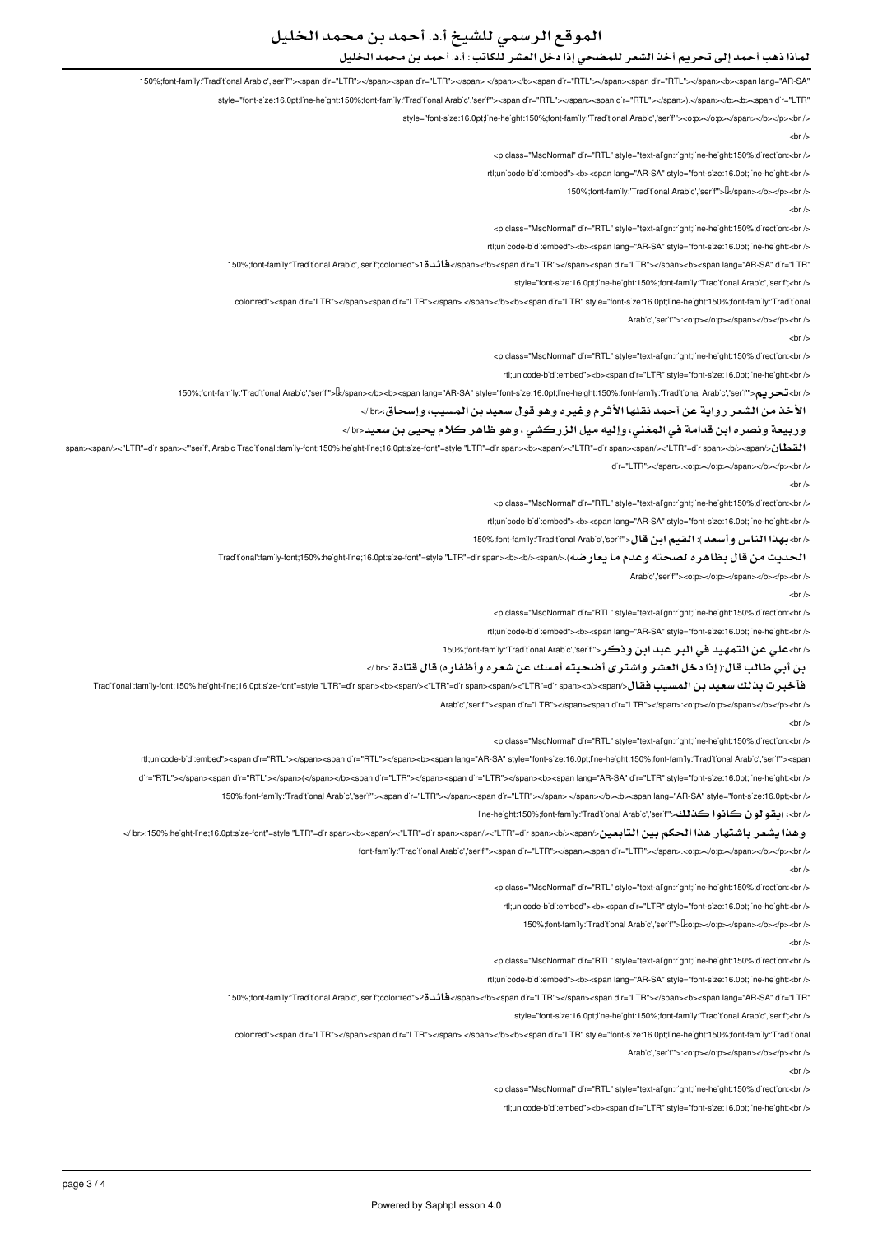### لماذا ذهب أحمد إلى تحريم أخذ الشعر للمضحي إذا دخل العشر للكاتب : أ.د. أحمد بن محمد الخليل

150%;font-fam'ly:'Trad't'onal Arab'c','ser'f"><span d'r="LTR"></span><spand'r="LTR"></span></b><spand'r="RTL"></span><span d'r="RTL"></span><b><spand'r="RTL"></span><b><span lang="AR-SA" style="font-s'ze:16.0pt;l'ne-he'ght:150%;font-fam'ly:'Trad't'onal Arab'c','ser'f"><span d'r="RTL"></span><span d'r="RTL"></span>).</span></b><br>><span d'r="LTR" style="font-size:16.0pt;line-height:150%;font-family:'Traditional Arabic','serif'"><0;p></0;p></p></p>></p></p></p></p></p>  $chr/$ 

<p class="MsoNormal" d'r="RTL" style="text-al'gn:right;l'ne-he'ght:150%;d'rect'on:<br/>br/>

</ br<:height-line;pt:16.0size-font="style" SA-AR="lang span><b"><embed:bidi-unicode;rtl

 $150\%$  font-family 'Traditional Arabic' 'serif'" $\sqrt{k}$ /snan $\lt$ /h $\lt$ /n $\lt$ hr/ $\lt$ 

 $\text{ch}$  /

<n class="MsoNormal" dire"RTL" style="text-align:right:line-height:150%;direction;<hr />

rtl;unicode-bidi:embed"><b><span lang="AR-SA" style="font-size:16.0pt;line-height:<br/>cbr />

span></b><span dir="LTR"></span\_span\_dir="LTR"></span><b><spandir="LTR"></span><b><span\_anq="AR-SA" dir="LTR"></span><b><span\_anq="AR-SA" dir="LTR"></span><b><span\_anq="AR-SA" dir="LTR"></span>

style="font-s'ze:16.0pt;l'ne-height:150%;font-family:'Traditional Arabic','serifi;<br/>chect/style-

color:red"><span d'r="LTR"></span><span d'r="LTR"></span></ban>>>>spand'r="LTR" style="font-size:16.0pt;line-height:150%;font-family:"Trad'tional

Arabic','serif">:<o:p></o:p></span></b></p></p><br/>

 $-br /<sub>></sub>$ 

<o class="MsoNormal" dir="RTL" style="text-align:right:line-height:150%:direction:<br/>cbr />

rtl;unicode-bidi:embed"><b><spandir="LTR" style="font-size:16.0pt;line-height:<br/>sbr

-/ book.family:"Traditional Arabic",serif">E/span></b><b>-span lang="AR-SA" style="font-size:16.0pt;line-height:150%;font-family:"Traditional Arabic",serif">E-ber/sharkort/

الأخذ من الشعر رواية عن أحمد نقلها الأثرم وغيره وهو قول سعيد بن المسيب، وإسحاق،<br /<

وربيعة ونصره ابن قدامة في المغني، وإليه ميل الزركشي ، وهو ظاهر كلام يحيى بن سعيد<br /<

القطان</span><span /><"LTR"=d'r span><span /><"LTR"=d'r span><span /><"LTR"=d'r span><span /><"LTR"=d'r span><span /><"LTR"=d'r span><span /><"LTR"=d'r span><span /><"LTR"=d'r span><span /><"LTR"=d'r span><span /></b d'r="LTR"></span>.<o:p></o:p></span></b></p></p>

 $-br /<sub>></sub>$ 

<br />p class="MsoNormal" d'r="RTL" style="text-align:right;line-height:150%;direction:<br />

rtl;unicode-bidi:embed"><b><span lang="AR-SA" style="font-size:16.0pt;line-height:<br/>shouride://

</ br>بهذا الناس وأسعد ): القيم ابن قال<"#top://tont-family:"Traditional Arabic",'serifi

الحديث من قال بظاهره لصحته وعدم ما يعارضه).</raditional':family-font;150%:height-line;16.0pt:size-font"=style "LTR"=dir span>cb>cb>cspan

Arabic' 'serif''><o:n></o:n></span></b></n><hr

 $chr/s$ 

<p class="MsoNormal" d'r="RTL" style="text-al'gn:r'ght;l'ne-he'ght:150%;d'rect'on:<br />

.tlinicode-bidirembed"><br/>ch><span\_lang="AR-SA"\_style="font-size:16.0pt:line-bejoht:<br/>>ht

</br>علي عن التمهيد في البر عبد ابن وذكر<"'tont-fam'ly:'Trad't'onal Arab'c','seri'')

بن أبي طالب قال:( إذا دخل العشر واشترى أضحيته أمسك عن شعره وأظفاره) قال قتادة :<br /<

فأخبر ت بذلك سعيد بن المسيب فقال</readitional":family-font;150%:height-line;16.0ptsize-font"=style "LTR"=dir span><bs>span/><"LTR"=dir span><bpan/>span/><"LTR"=dir span><b/></blow pan\_indirectional":family-font;150%:heigh Arabic','serif"><span dir="LTR"></span><span dir="LTR"></span>:/span>:/0:p></span></b></p><br/>>/p><br/></

 $str/s$ 

<p class="MsoNormal" d'r="RTL" style="text-al'gn:right;l'ne-height:150%;d'rection:<br/>br/>

rtl;un'code-b'd':embed"><span d'r="RTL"></span><span d'r="RTL"></span><bp><span lang="AR-SA" style="font-s'ze:16.0pt;l'ne-he ght:150%;font-fam'ly:"Trad't onal Arab'c','ser'f"><span

d'r="RTL"></span><span d'r="RTL"></span>(</span></b><span d'r="LTR"></span><span d'r="LTR"></span><bpan/>><rpan\_iang="AR-SA" d'r="LTR" style="font-s'ze:16.0pt;l'ne-he'ght:<br/>cbr

t50% font-family "Traditional Arabic" 'serif" ><span dir="l TR" ></span><span dir="l TR" ></span></span></p>></span></p></p>></span\_iang="AR-SA" style="font-size:16 Opt-chr

</ br>، (يقولون كانوا كذلك<"'ine-he'ght:150%;font-family:'Tradit'onal Arabic','seri

وهذا يشعر باشتهار هذا **الحكم بين التابعين</br>iddensidentifie:16.0ptsize-font"=style "LTR"=dir span><b><span/>zurlar"=dir span><span/>zurlar"=dir span><bp><span/>zurlar" =dir span><bp><span/>** $\sim$  **read that**  $\mu$  **and**  $\mu$  **a** font-family:'Traditional Arabic','serif"><span dir="LTR"></span><span dir="LTR"></span>.<o:p></o:p></span></b></p>></p></b></

 $-$ hr  $\sim$ 

<p class="MsoNormal" d'r="RTL" style="text-al'gn:r'ght;l'ne-he'ght:150%;d'rect'on:<br />

rtl;unicode-bidi:embed"><b><spandir="LTR" style="font-size:16.0pt;line-height:<br/>shandle;

150%;font-family:'Traditional Arabic','serif">Lo:p></o:p></span></b></p><br/>>br

 $chr/s$ 

<n class="MsoNormal" dir="RTL" style="text-align:right:line-height:150%;direction:<br/>kht/s

rtl;un'code-b'd':embed"><b><span lang="AR-SA" style="font-s'ze:16.0pt;l'ne-he'ght:<br/>sbr

\*150%;font-family:"Traditional Arabic','serif';color:red">2 مفاخّد span></b><span dir="LTR"></span><span dir="LTR"></span><b><span\_ang="AR-SA" dir="LTR"></span->

style="font-s'ze:16.0pt;l'ne-he'ght:150%;font-fam'ly:'Trad't'onal Arab'c','ser'f';<br/>>ht/>

color:red"><span\_dir="LTR"></span><span\_dir="LTR"></span> </span></b>>>span\_dir="LTR" style="font-size:16.0pt;line-height:150%;font-family:"Traditional

Arab c','ser'f"'>:<o:p></o:p></span></b></p></p><br/>

 $chr/s$ 

<p class="MsoNormal" d'r="RTL" style="text-al'gn:r'ght;l'ne-he'ght:150%;d'rect'on:<br/>br/>

rtl;unicode-bidi:embed"><b><span dir="LTR" style="font-size:16.0pt;line-height:<br/>shand: